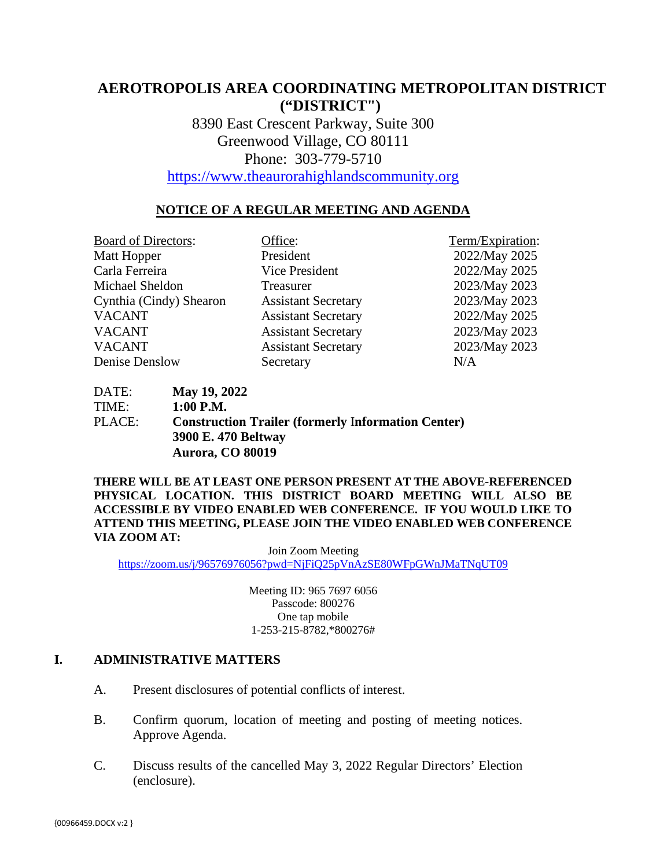# **AEROTROPOLIS AREA COORDINATING METROPOLITAN DISTRICT ("DISTRICT")**

8390 East Crescent Parkway, Suite 300 Greenwood Village, CO 80111 Phone: 303-779-5710

[https://www.theaurorahighlandscommunity.org](https://www.theaurorahighlandscommunity.org/)

### **NOTICE OF A REGULAR MEETING AND AGENDA**

Board of Directors: Office: Term/Expiration: Matt Hopper President 2022/May 2025 Carla Ferreira Vice President 2022/May 2025 Michael Sheldon Treasurer 2023/May 2023 Cynthia (Cindy) Shearon Assistant Secretary 2023/May 2023 VACANT Assistant Secretary 2022/May 2025 VACANT Assistant Secretary 2023/May 2023 VACANT Assistant Secretary 2023/May 2023 Denise Denslow Secretary N/A

DATE: **May 19, 2022** TIME: **1:00 P.M.** PLACE: **Construction Trailer (formerly** I**nformation Center) 3900 E. 470 Beltway Aurora, CO 80019** 

**THERE WILL BE AT LEAST ONE PERSON PRESENT AT THE ABOVE-REFERENCED PHYSICAL LOCATION. THIS DISTRICT BOARD MEETING WILL ALSO BE ACCESSIBLE BY VIDEO ENABLED WEB CONFERENCE. IF YOU WOULD LIKE TO ATTEND THIS MEETING, PLEASE JOIN THE VIDEO ENABLED WEB CONFERENCE VIA ZOOM AT:**

Join Zoom Meeting <https://zoom.us/j/96576976056?pwd=NjFiQ25pVnAzSE80WFpGWnJMaTNqUT09>

> Meeting ID: 965 7697 6056 Passcode: 800276 One tap mobile 1-253-215-8782,\*800276#

#### **I. ADMINISTRATIVE MATTERS**

- A. Present disclosures of potential conflicts of interest.
- B. Confirm quorum, location of meeting and posting of meeting notices. Approve Agenda.
- C. Discuss results of the cancelled May 3, 2022 Regular Directors' Election (enclosure).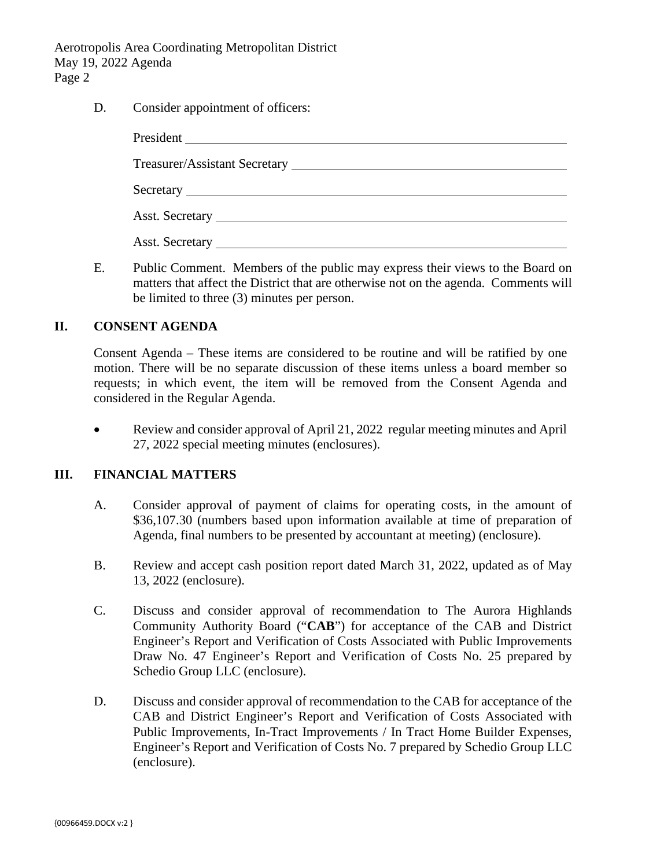Aerotropolis Area Coordinating Metropolitan District May 19, 2022 Agenda Page 2

D. Consider appointment of officers:

| Asst. Secretary <u>example</u> and the secretary and the secretary and the secretary and the secretary and the secretary and the secretary and the secretary and the secretary and the secretary and the secretary and the secretar |  |
|-------------------------------------------------------------------------------------------------------------------------------------------------------------------------------------------------------------------------------------|--|
| <b>Asst. Secretary</b>                                                                                                                                                                                                              |  |

E. Public Comment. Members of the public may express their views to the Board on matters that affect the District that are otherwise not on the agenda. Comments will be limited to three (3) minutes per person.

#### **II. CONSENT AGENDA**

Consent Agenda – These items are considered to be routine and will be ratified by one motion. There will be no separate discussion of these items unless a board member so requests; in which event, the item will be removed from the Consent Agenda and considered in the Regular Agenda.

• Review and consider approval of April 21, 2022 regular meeting minutes and April 27, 2022 special meeting minutes (enclosures).

#### **III. FINANCIAL MATTERS**

- A. Consider approval of payment of claims for operating costs, in the amount of \$36,107.30 (numbers based upon information available at time of preparation of Agenda, final numbers to be presented by accountant at meeting) (enclosure).
- B. Review and accept cash position report dated March 31, 2022, updated as of May 13, 2022 (enclosure).
- C. Discuss and consider approval of recommendation to The Aurora Highlands Community Authority Board ("**CAB**") for acceptance of the CAB and District Engineer's Report and Verification of Costs Associated with Public Improvements Draw No. 47 Engineer's Report and Verification of Costs No. 25 prepared by Schedio Group LLC (enclosure).
- D. Discuss and consider approval of recommendation to the CAB for acceptance of the CAB and District Engineer's Report and Verification of Costs Associated with Public Improvements, In-Tract Improvements / In Tract Home Builder Expenses, Engineer's Report and Verification of Costs No. 7 prepared by Schedio Group LLC (enclosure).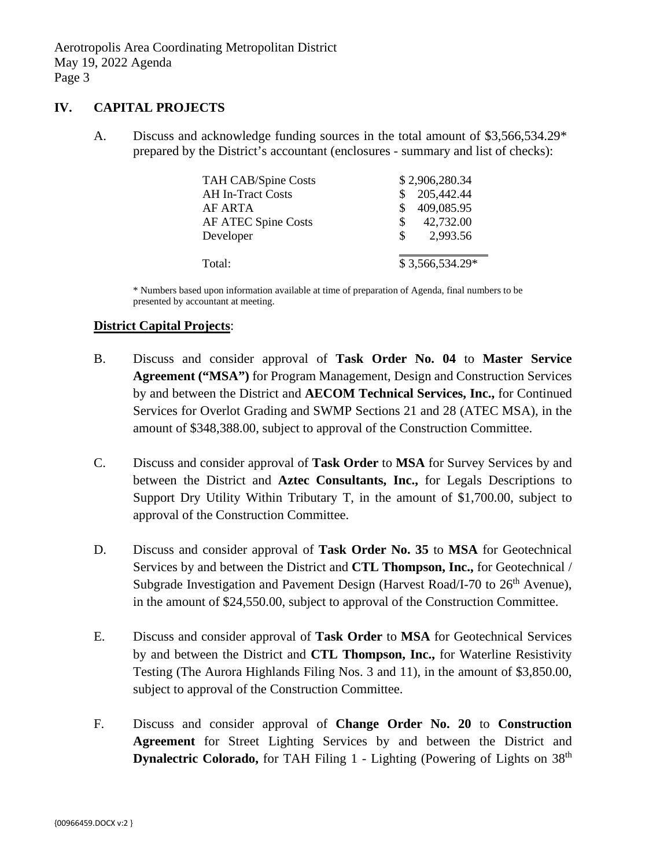#### **IV. CAPITAL PROJECTS**

A. Discuss and acknowledge funding sources in the total amount of \$3,566,534.29\* prepared by the District's accountant (enclosures - summary and list of checks):

| <b>TAH CAB/Spine Costs</b> | \$2,906,280.34  |
|----------------------------|-----------------|
| <b>AH In-Tract Costs</b>   | 205,442.44      |
| AF ARTA                    | 409,085.95      |
| <b>AF ATEC Spine Costs</b> | 42,732.00<br>S  |
| Developer                  | 2,993.56<br>S.  |
| Total:                     | \$3,566,534.29* |

\* Numbers based upon information available at time of preparation of Agenda, final numbers to be presented by accountant at meeting.

#### **District Capital Projects**:

- B. Discuss and consider approval of **Task Order No. 04** to **Master Service Agreement ("MSA")** for Program Management, Design and Construction Services by and between the District and **AECOM Technical Services, Inc.,** for Continued Services for Overlot Grading and SWMP Sections 21 and 28 (ATEC MSA), in the amount of \$348,388.00, subject to approval of the Construction Committee.
- C. Discuss and consider approval of **Task Order** to **MSA** for Survey Services by and between the District and **Aztec Consultants, Inc.,** for Legals Descriptions to Support Dry Utility Within Tributary T, in the amount of \$1,700.00, subject to approval of the Construction Committee.
- D. Discuss and consider approval of **Task Order No. 35** to **MSA** for Geotechnical Services by and between the District and **CTL Thompson, Inc.,** for Geotechnical / Subgrade Investigation and Pavement Design (Harvest Road/I-70 to  $26<sup>th</sup>$  Avenue), in the amount of \$24,550.00, subject to approval of the Construction Committee.
- E. Discuss and consider approval of **Task Order** to **MSA** for Geotechnical Services by and between the District and **CTL Thompson, Inc.,** for Waterline Resistivity Testing (The Aurora Highlands Filing Nos. 3 and 11), in the amount of \$3,850.00, subject to approval of the Construction Committee.
- F. Discuss and consider approval of **Change Order No. 20** to **Construction Agreement** for Street Lighting Services by and between the District and **Dynalectric Colorado,** for TAH Filing 1 - Lighting (Powering of Lights on 38<sup>th</sup>)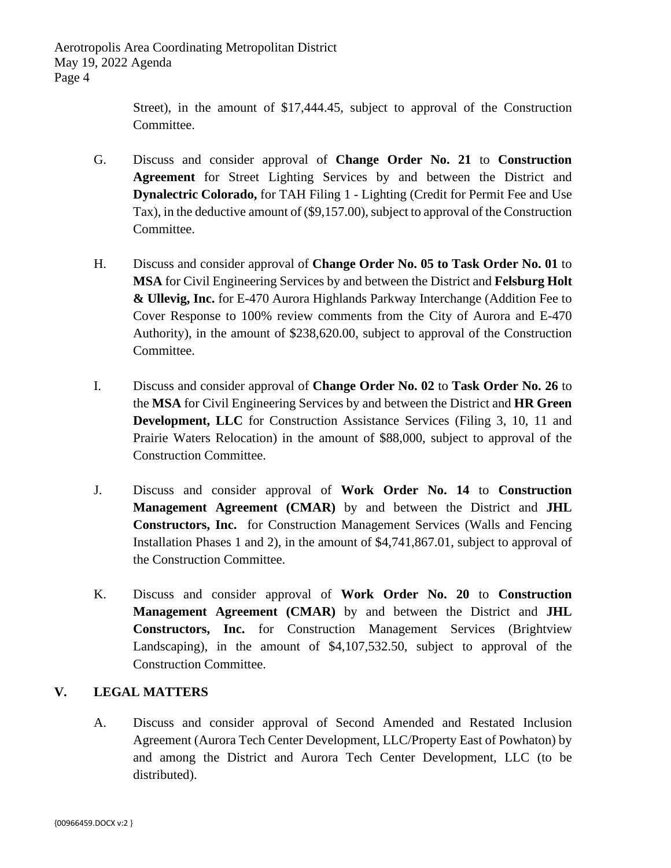Street), in the amount of \$17,444.45, subject to approval of the Construction Committee.

- G. Discuss and consider approval of **Change Order No. 21** to **Construction Agreement** for Street Lighting Services by and between the District and **Dynalectric Colorado,** for TAH Filing 1 - Lighting (Credit for Permit Fee and Use Tax), in the deductive amount of (\$9,157.00), subject to approval of the Construction Committee.
- H. Discuss and consider approval of **Change Order No. 05 to Task Order No. 01** to **MSA** for Civil Engineering Services by and between the District and **Felsburg Holt & Ullevig, Inc.** for E-470 Aurora Highlands Parkway Interchange (Addition Fee to Cover Response to 100% review comments from the City of Aurora and E-470 Authority), in the amount of \$238,620.00, subject to approval of the Construction Committee.
- I. Discuss and consider approval of **Change Order No. 02** to **Task Order No. 26** to the **MSA** for Civil Engineering Services by and between the District and **HR Green Development, LLC** for Construction Assistance Services (Filing 3, 10, 11 and Prairie Waters Relocation) in the amount of \$88,000, subject to approval of the Construction Committee.
- J. Discuss and consider approval of **Work Order No. 14** to **Construction Management Agreement (CMAR)** by and between the District and **JHL Constructors, Inc.** for Construction Management Services (Walls and Fencing Installation Phases 1 and 2), in the amount of \$4,741,867.01, subject to approval of the Construction Committee.
- K. Discuss and consider approval of **Work Order No. 20** to **Construction Management Agreement (CMAR)** by and between the District and **JHL Constructors, Inc.** for Construction Management Services (Brightview Landscaping), in the amount of \$4,107,532.50, subject to approval of the Construction Committee.

### **V. LEGAL MATTERS**

A. Discuss and consider approval of Second Amended and Restated Inclusion Agreement (Aurora Tech Center Development, LLC/Property East of Powhaton) by and among the District and Aurora Tech Center Development, LLC (to be distributed).